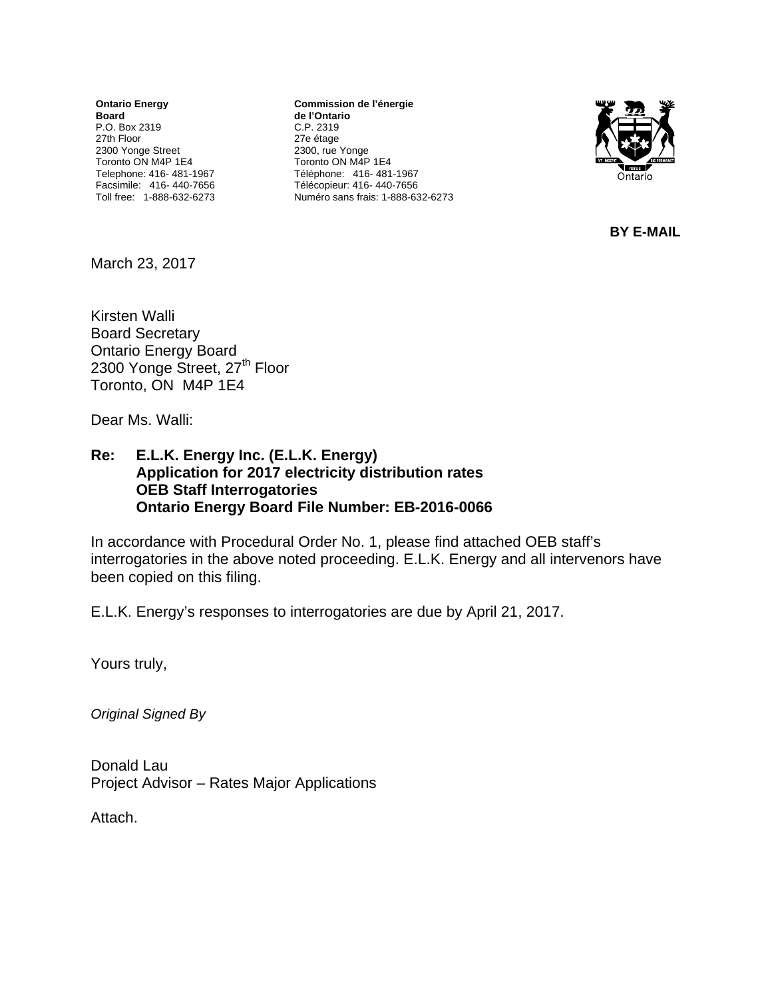**Ontario Energy Board**  P.O. Box 2319 27th Floor 2300 Yonge Street Toronto ON M4P 1E4 Telephone: 416- 481-1967 Facsimile: 416- 440-7656 Toll free: 1-888-632-6273

**Commission de l'énergie de l'Ontario** C.P. 2319 27e étage 2300, rue Yonge Toronto ON M4P 1E4 Téléphone: 416- 481-1967 Télécopieur: 416- 440-7656 Numéro sans frais: 1-888-632-6273



**BY E-MAIL** 

March 23, 2017

Kirsten Walli Board Secretary Ontario Energy Board 2300 Yonge Street, 27<sup>th</sup> Floor Toronto, ON M4P 1E4

Dear Ms. Walli:

#### **Re: E.L.K. Energy Inc. (E.L.K. Energy) Application for 2017 electricity distribution rates OEB Staff Interrogatories Ontario Energy Board File Number: EB-2016-0066**

In accordance with Procedural Order No. 1, please find attached OEB staff's interrogatories in the above noted proceeding. E.L.K. Energy and all intervenors have been copied on this filing.

E.L.K. Energy's responses to interrogatories are due by April 21, 2017.

Yours truly,

*Original Signed By* 

Donald Lau Project Advisor – Rates Major Applications

Attach.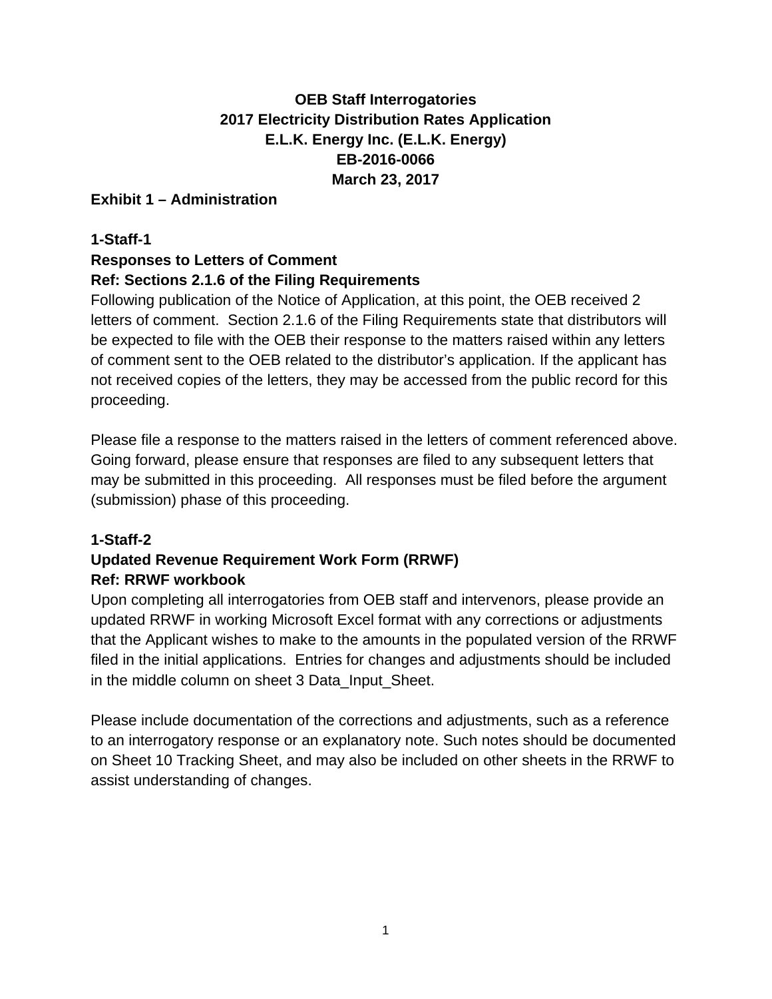# **OEB Staff Interrogatories 2017 Electricity Distribution Rates Application E.L.K. Energy Inc. (E.L.K. Energy) EB-2016-0066 March 23, 2017**

#### **Exhibit 1 – Administration**

#### **1-Staff-1**

#### **Responses to Letters of Comment**

#### **Ref: Sections 2.1.6 of the Filing Requirements**

Following publication of the Notice of Application, at this point, the OEB received 2 letters of comment. Section 2.1.6 of the Filing Requirements state that distributors will be expected to file with the OEB their response to the matters raised within any letters of comment sent to the OEB related to the distributor's application. If the applicant has not received copies of the letters, they may be accessed from the public record for this proceeding.

Please file a response to the matters raised in the letters of comment referenced above. Going forward, please ensure that responses are filed to any subsequent letters that may be submitted in this proceeding. All responses must be filed before the argument (submission) phase of this proceeding.

#### **1-Staff-2**

#### **Updated Revenue Requirement Work Form (RRWF) Ref: RRWF workbook**

Upon completing all interrogatories from OEB staff and intervenors, please provide an updated RRWF in working Microsoft Excel format with any corrections or adjustments that the Applicant wishes to make to the amounts in the populated version of the RRWF filed in the initial applications. Entries for changes and adjustments should be included in the middle column on sheet 3 Data\_Input\_Sheet.

Please include documentation of the corrections and adjustments, such as a reference to an interrogatory response or an explanatory note. Such notes should be documented on Sheet 10 Tracking Sheet, and may also be included on other sheets in the RRWF to assist understanding of changes.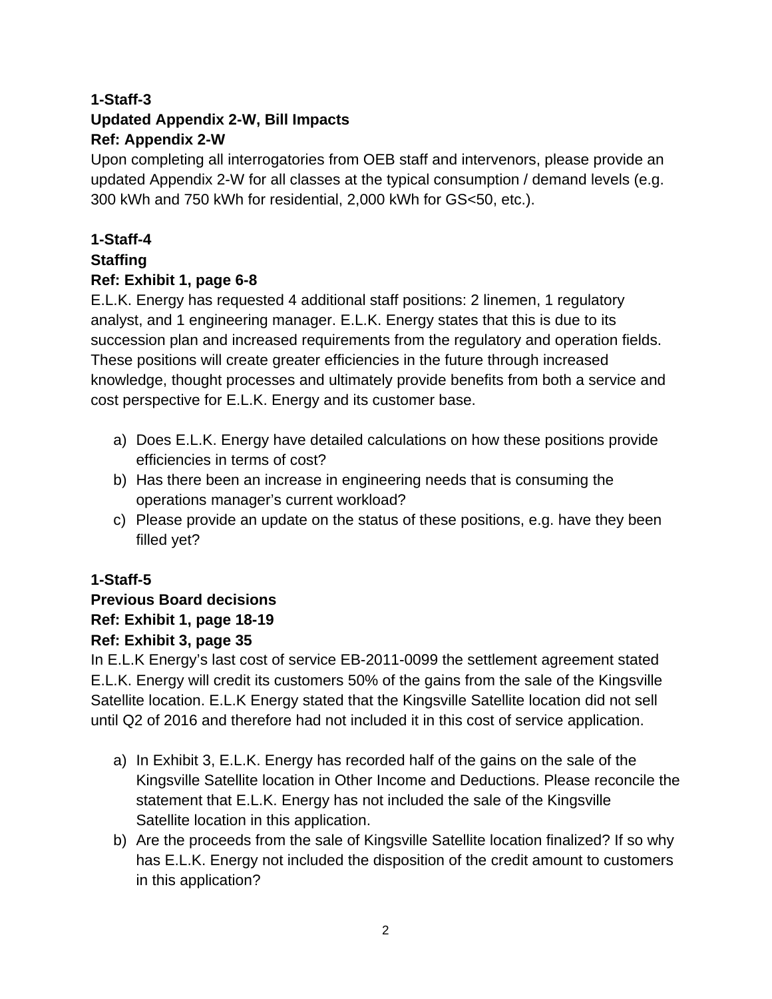# **1-Staff-3 Updated Appendix 2-W, Bill Impacts Ref: Appendix 2-W**

Upon completing all interrogatories from OEB staff and intervenors, please provide an updated Appendix 2-W for all classes at the typical consumption / demand levels (e.g. 300 kWh and 750 kWh for residential, 2,000 kWh for GS<50, etc.).

# **1-Staff-4 Staffing**

#### **Ref: Exhibit 1, page 6-8**

E.L.K. Energy has requested 4 additional staff positions: 2 linemen, 1 regulatory analyst, and 1 engineering manager. E.L.K. Energy states that this is due to its succession plan and increased requirements from the regulatory and operation fields. These positions will create greater efficiencies in the future through increased knowledge, thought processes and ultimately provide benefits from both a service and cost perspective for E.L.K. Energy and its customer base.

- a) Does E.L.K. Energy have detailed calculations on how these positions provide efficiencies in terms of cost?
- b) Has there been an increase in engineering needs that is consuming the operations manager's current workload?
- c) Please provide an update on the status of these positions, e.g. have they been filled yet?

# **1-Staff-5**

# **Previous Board decisions Ref: Exhibit 1, page 18-19**

#### **Ref: Exhibit 3, page 35**

In E.L.K Energy's last cost of service EB-2011-0099 the settlement agreement stated E.L.K. Energy will credit its customers 50% of the gains from the sale of the Kingsville Satellite location. E.L.K Energy stated that the Kingsville Satellite location did not sell until Q2 of 2016 and therefore had not included it in this cost of service application.

- a) In Exhibit 3, E.L.K. Energy has recorded half of the gains on the sale of the Kingsville Satellite location in Other Income and Deductions. Please reconcile the statement that E.L.K. Energy has not included the sale of the Kingsville Satellite location in this application.
- b) Are the proceeds from the sale of Kingsville Satellite location finalized? If so why has E.L.K. Energy not included the disposition of the credit amount to customers in this application?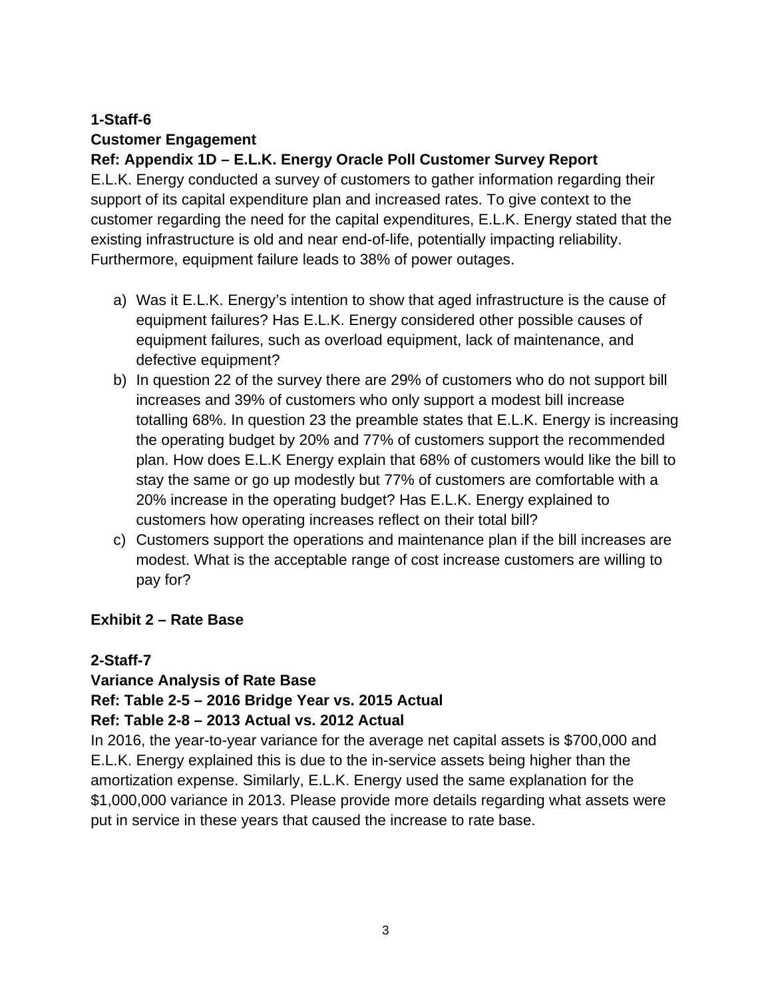#### **1-Staff-6 Customer Engagement Ref: Appendix 1D – E.L.K. Energy Oracle Poll Customer Survey Report**

E.L.K. Energy conducted a survey of customers to gather information regarding their support of its capital expenditure plan and increased rates. To give context to the customer regarding the need for the capital expenditures, E.L.K. Energy stated that the existing infrastructure is old and near end-of-life, potentially impacting reliability. Furthermore, equipment failure leads to 38% of power outages.

- a) Was it E.L.K. Energy's intention to show that aged infrastructure is the cause of equipment failures? Has E.L.K. Energy considered other possible causes of equipment failures, such as overload equipment, lack of maintenance, and defective equipment?
- b) In question 22 of the survey there are 29% of customers who do not support bill increases and 39% of customers who only support a modest bill increase totalling 68%. In question 23 the preamble states that E.L.K. Energy is increasing the operating budget by 20% and 77% of customers support the recommended plan. How does E.L.K Energy explain that 68% of customers would like the bill to stay the same or go up modestly but 77% of customers are comfortable with a 20% increase in the operating budget? Has E.L.K. Energy explained to customers how operating increases reflect on their total bill?
- c) Customers support the operations and maintenance plan if the bill increases are modest. What is the acceptable range of cost increase customers are willing to pay for?

#### **Exhibit 2 – Rate Base**

#### **2-Staff-7**

#### **Variance Analysis of Rate Base**

#### **Ref: Table 2-5 – 2016 Bridge Year vs. 2015 Actual**

#### **Ref: Table 2-8 – 2013 Actual vs. 2012 Actual**

In 2016, the year-to-year variance for the average net capital assets is \$700,000 and E.L.K. Energy explained this is due to the in-service assets being higher than the amortization expense. Similarly, E.L.K. Energy used the same explanation for the \$1,000,000 variance in 2013. Please provide more details regarding what assets were put in service in these years that caused the increase to rate base.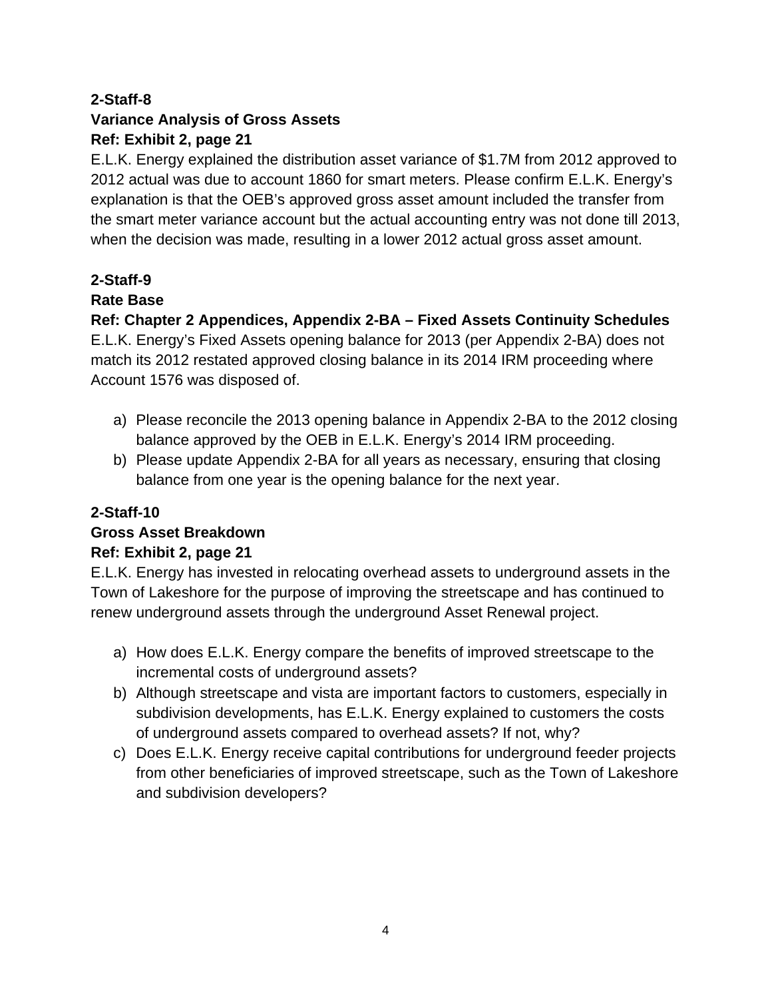# **Variance Analysis of Gross Assets Ref: Exhibit 2, page 21**

E.L.K. Energy explained the distribution asset variance of \$1.7M from 2012 approved to 2012 actual was due to account 1860 for smart meters. Please confirm E.L.K. Energy's explanation is that the OEB's approved gross asset amount included the transfer from the smart meter variance account but the actual accounting entry was not done till 2013, when the decision was made, resulting in a lower 2012 actual gross asset amount.

# **2-Staff-9**

#### **Rate Base**

# **Ref: Chapter 2 Appendices, Appendix 2-BA – Fixed Assets Continuity Schedules**

E.L.K. Energy's Fixed Assets opening balance for 2013 (per Appendix 2-BA) does not match its 2012 restated approved closing balance in its 2014 IRM proceeding where Account 1576 was disposed of.

- a) Please reconcile the 2013 opening balance in Appendix 2-BA to the 2012 closing balance approved by the OEB in E.L.K. Energy's 2014 IRM proceeding.
- b) Please update Appendix 2-BA for all years as necessary, ensuring that closing balance from one year is the opening balance for the next year.

# **2-Staff-10**

#### **Gross Asset Breakdown**

#### **Ref: Exhibit 2, page 21**

E.L.K. Energy has invested in relocating overhead assets to underground assets in the Town of Lakeshore for the purpose of improving the streetscape and has continued to renew underground assets through the underground Asset Renewal project.

- a) How does E.L.K. Energy compare the benefits of improved streetscape to the incremental costs of underground assets?
- b) Although streetscape and vista are important factors to customers, especially in subdivision developments, has E.L.K. Energy explained to customers the costs of underground assets compared to overhead assets? If not, why?
- c) Does E.L.K. Energy receive capital contributions for underground feeder projects from other beneficiaries of improved streetscape, such as the Town of Lakeshore and subdivision developers?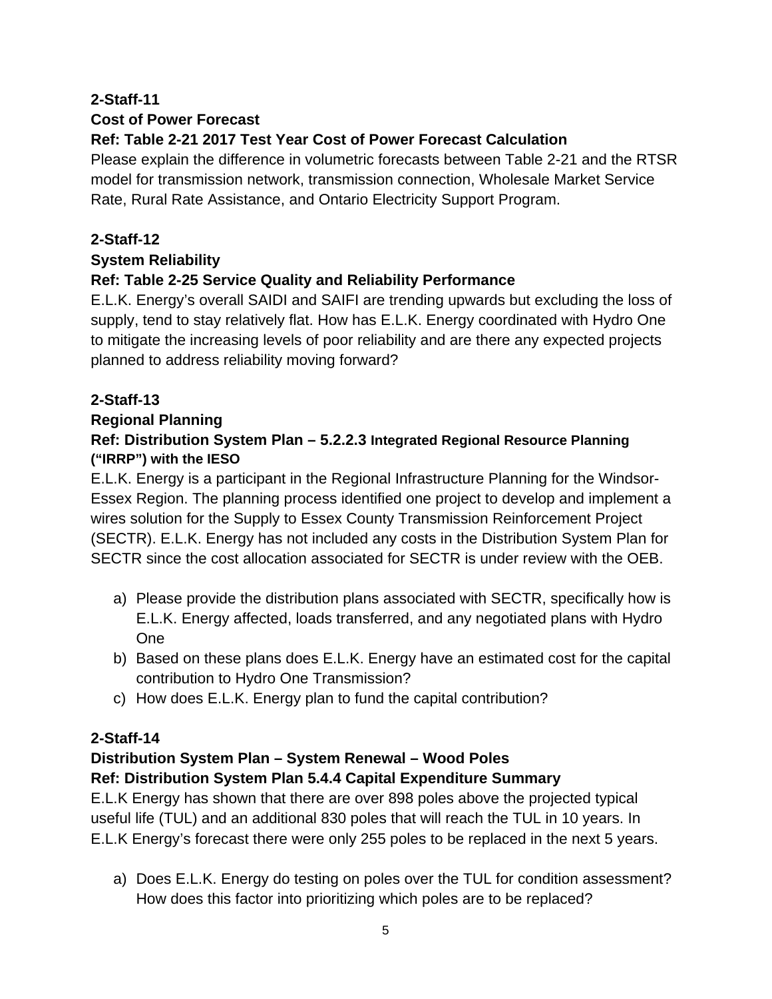# **2-Staff-11 Cost of Power Forecast**

# **Ref: Table 2-21 2017 Test Year Cost of Power Forecast Calculation**

Please explain the difference in volumetric forecasts between Table 2-21 and the RTSR model for transmission network, transmission connection, Wholesale Market Service Rate, Rural Rate Assistance, and Ontario Electricity Support Program.

# **2-Staff-12**

#### **System Reliability**

# **Ref: Table 2-25 Service Quality and Reliability Performance**

E.L.K. Energy's overall SAIDI and SAIFI are trending upwards but excluding the loss of supply, tend to stay relatively flat. How has E.L.K. Energy coordinated with Hydro One to mitigate the increasing levels of poor reliability and are there any expected projects planned to address reliability moving forward?

#### **2-Staff-13**

#### **Regional Planning**

#### **Ref: Distribution System Plan – 5.2.2.3 Integrated Regional Resource Planning ("IRRP") with the IESO**

E.L.K. Energy is a participant in the Regional Infrastructure Planning for the Windsor-Essex Region. The planning process identified one project to develop and implement a wires solution for the Supply to Essex County Transmission Reinforcement Project (SECTR). E.L.K. Energy has not included any costs in the Distribution System Plan for SECTR since the cost allocation associated for SECTR is under review with the OEB.

- a) Please provide the distribution plans associated with SECTR, specifically how is E.L.K. Energy affected, loads transferred, and any negotiated plans with Hydro One
- b) Based on these plans does E.L.K. Energy have an estimated cost for the capital contribution to Hydro One Transmission?
- c) How does E.L.K. Energy plan to fund the capital contribution?

# **2-Staff-14**

#### **Distribution System Plan – System Renewal – Wood Poles**

#### **Ref: Distribution System Plan 5.4.4 Capital Expenditure Summary**

E.L.K Energy has shown that there are over 898 poles above the projected typical useful life (TUL) and an additional 830 poles that will reach the TUL in 10 years. In E.L.K Energy's forecast there were only 255 poles to be replaced in the next 5 years.

a) Does E.L.K. Energy do testing on poles over the TUL for condition assessment? How does this factor into prioritizing which poles are to be replaced?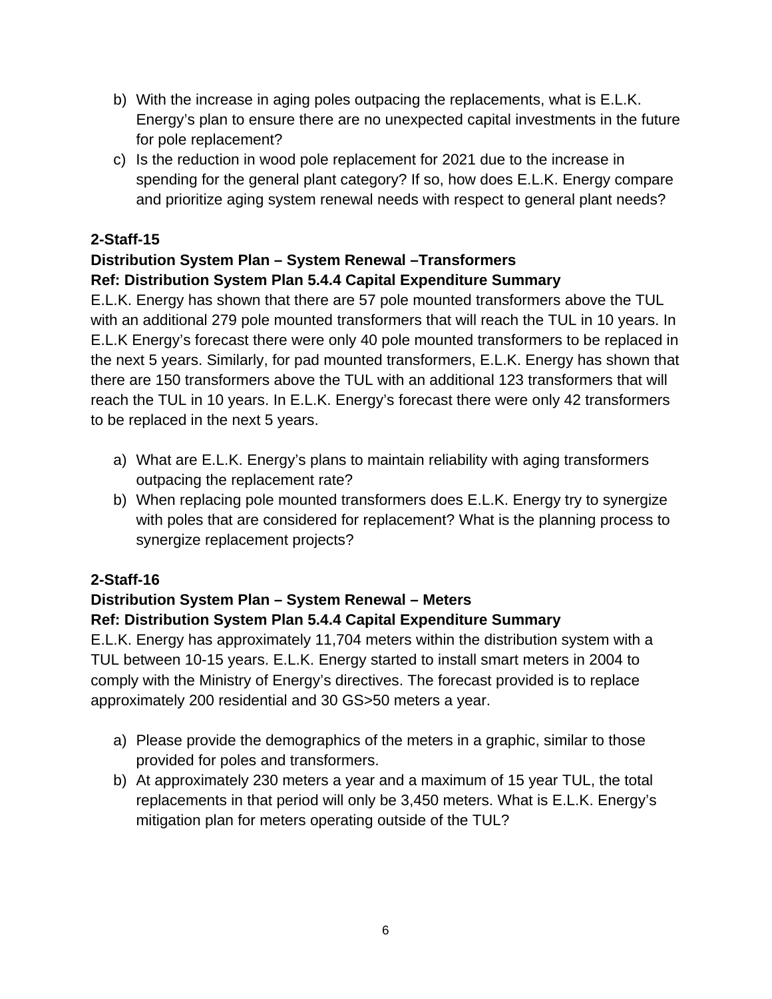- b) With the increase in aging poles outpacing the replacements, what is E.L.K. Energy's plan to ensure there are no unexpected capital investments in the future for pole replacement?
- c) Is the reduction in wood pole replacement for 2021 due to the increase in spending for the general plant category? If so, how does E.L.K. Energy compare and prioritize aging system renewal needs with respect to general plant needs?

#### **Distribution System Plan – System Renewal –Transformers Ref: Distribution System Plan 5.4.4 Capital Expenditure Summary**

E.L.K. Energy has shown that there are 57 pole mounted transformers above the TUL with an additional 279 pole mounted transformers that will reach the TUL in 10 years. In E.L.K Energy's forecast there were only 40 pole mounted transformers to be replaced in the next 5 years. Similarly, for pad mounted transformers, E.L.K. Energy has shown that there are 150 transformers above the TUL with an additional 123 transformers that will reach the TUL in 10 years. In E.L.K. Energy's forecast there were only 42 transformers to be replaced in the next 5 years.

- a) What are E.L.K. Energy's plans to maintain reliability with aging transformers outpacing the replacement rate?
- b) When replacing pole mounted transformers does E.L.K. Energy try to synergize with poles that are considered for replacement? What is the planning process to synergize replacement projects?

# **2-Staff-16**

# **Distribution System Plan – System Renewal – Meters**

#### **Ref: Distribution System Plan 5.4.4 Capital Expenditure Summary**

E.L.K. Energy has approximately 11,704 meters within the distribution system with a TUL between 10-15 years. E.L.K. Energy started to install smart meters in 2004 to comply with the Ministry of Energy's directives. The forecast provided is to replace approximately 200 residential and 30 GS>50 meters a year.

- a) Please provide the demographics of the meters in a graphic, similar to those provided for poles and transformers.
- b) At approximately 230 meters a year and a maximum of 15 year TUL, the total replacements in that period will only be 3,450 meters. What is E.L.K. Energy's mitigation plan for meters operating outside of the TUL?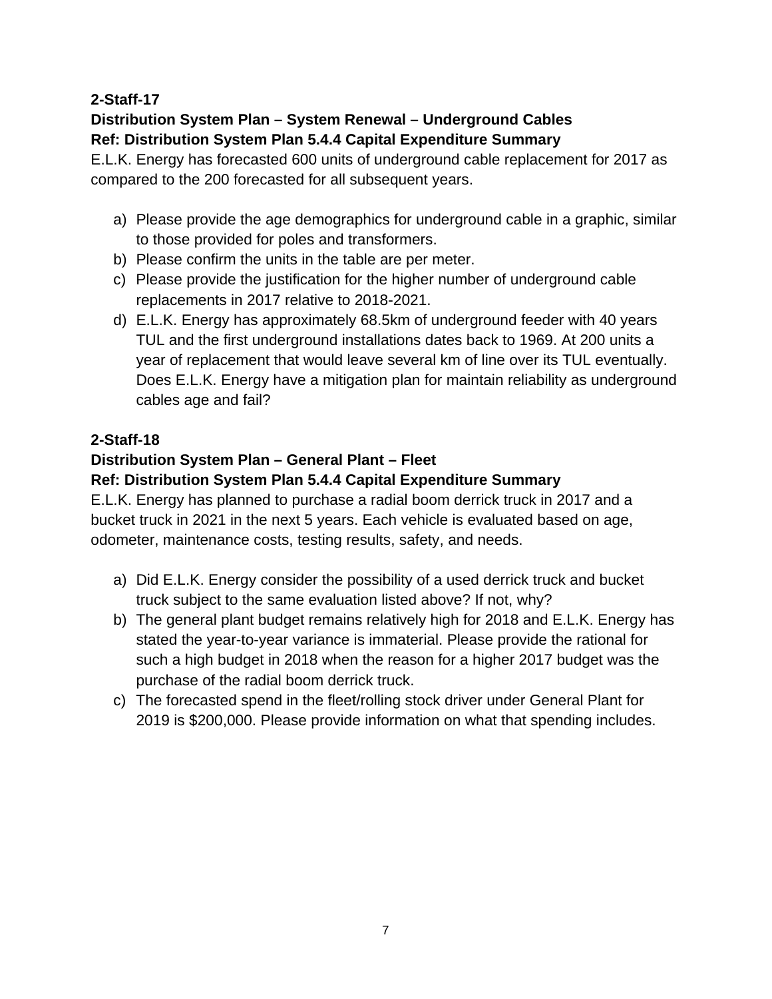# **Distribution System Plan – System Renewal – Underground Cables Ref: Distribution System Plan 5.4.4 Capital Expenditure Summary**

E.L.K. Energy has forecasted 600 units of underground cable replacement for 2017 as compared to the 200 forecasted for all subsequent years.

- a) Please provide the age demographics for underground cable in a graphic, similar to those provided for poles and transformers.
- b) Please confirm the units in the table are per meter.
- c) Please provide the justification for the higher number of underground cable replacements in 2017 relative to 2018-2021.
- d) E.L.K. Energy has approximately 68.5km of underground feeder with 40 years TUL and the first underground installations dates back to 1969. At 200 units a year of replacement that would leave several km of line over its TUL eventually. Does E.L.K. Energy have a mitigation plan for maintain reliability as underground cables age and fail?

#### **2-Staff-18**

#### **Distribution System Plan – General Plant – Fleet**

#### **Ref: Distribution System Plan 5.4.4 Capital Expenditure Summary**

E.L.K. Energy has planned to purchase a radial boom derrick truck in 2017 and a bucket truck in 2021 in the next 5 years. Each vehicle is evaluated based on age, odometer, maintenance costs, testing results, safety, and needs.

- a) Did E.L.K. Energy consider the possibility of a used derrick truck and bucket truck subject to the same evaluation listed above? If not, why?
- b) The general plant budget remains relatively high for 2018 and E.L.K. Energy has stated the year-to-year variance is immaterial. Please provide the rational for such a high budget in 2018 when the reason for a higher 2017 budget was the purchase of the radial boom derrick truck.
- c) The forecasted spend in the fleet/rolling stock driver under General Plant for 2019 is \$200,000. Please provide information on what that spending includes.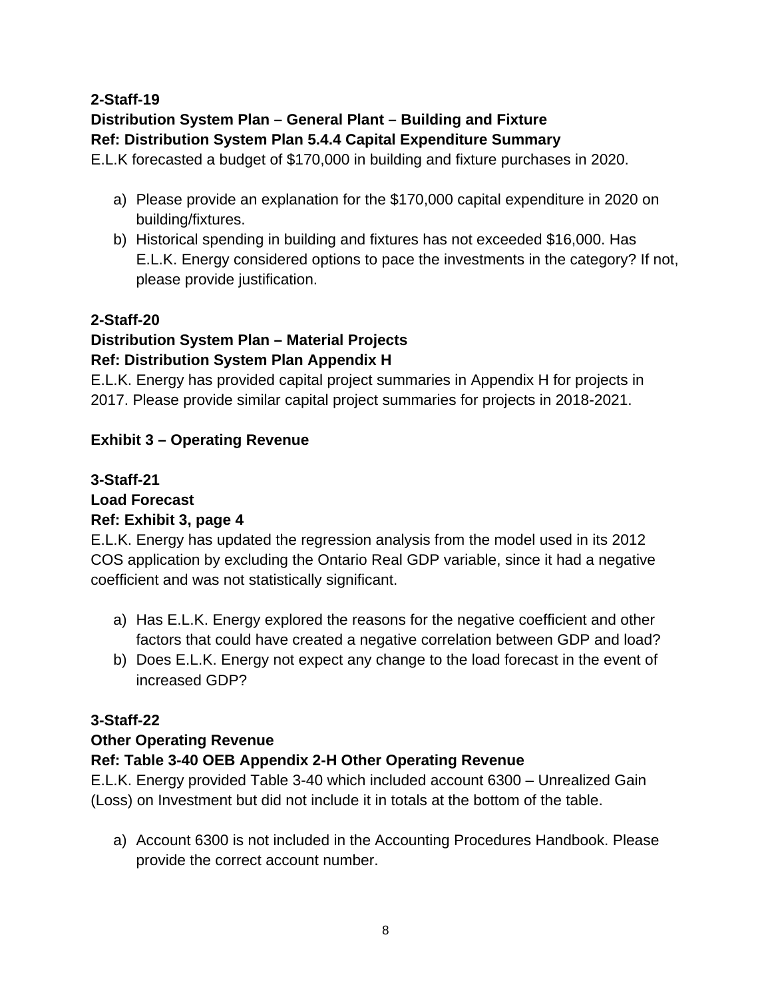# **2-Staff-19 Distribution System Plan – General Plant – Building and Fixture Ref: Distribution System Plan 5.4.4 Capital Expenditure Summary**

E.L.K forecasted a budget of \$170,000 in building and fixture purchases in 2020.

- a) Please provide an explanation for the \$170,000 capital expenditure in 2020 on building/fixtures.
- b) Historical spending in building and fixtures has not exceeded \$16,000. Has E.L.K. Energy considered options to pace the investments in the category? If not, please provide justification.

#### **2-Staff-20**

# **Distribution System Plan – Material Projects Ref: Distribution System Plan Appendix H**

E.L.K. Energy has provided capital project summaries in Appendix H for projects in 2017. Please provide similar capital project summaries for projects in 2018-2021.

# **Exhibit 3 – Operating Revenue**

#### **3-Staff-21**

# **Load Forecast**

#### **Ref: Exhibit 3, page 4**

E.L.K. Energy has updated the regression analysis from the model used in its 2012 COS application by excluding the Ontario Real GDP variable, since it had a negative coefficient and was not statistically significant.

- a) Has E.L.K. Energy explored the reasons for the negative coefficient and other factors that could have created a negative correlation between GDP and load?
- b) Does E.L.K. Energy not expect any change to the load forecast in the event of increased GDP?

#### **3-Staff-22**

#### **Other Operating Revenue**

#### **Ref: Table 3-40 OEB Appendix 2-H Other Operating Revenue**

E.L.K. Energy provided Table 3-40 which included account 6300 – Unrealized Gain (Loss) on Investment but did not include it in totals at the bottom of the table.

a) Account 6300 is not included in the Accounting Procedures Handbook. Please provide the correct account number.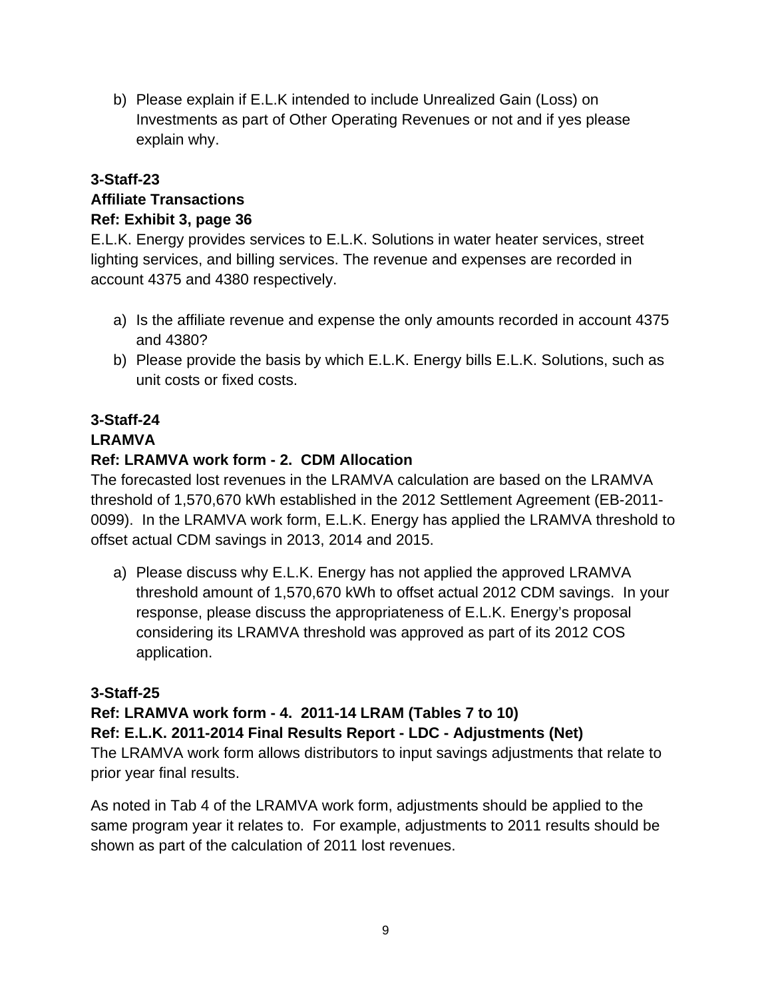b) Please explain if E.L.K intended to include Unrealized Gain (Loss) on Investments as part of Other Operating Revenues or not and if yes please explain why.

#### **3-Staff-23 Affiliate Transactions Ref: Exhibit 3, page 36**

E.L.K. Energy provides services to E.L.K. Solutions in water heater services, street lighting services, and billing services. The revenue and expenses are recorded in account 4375 and 4380 respectively.

- a) Is the affiliate revenue and expense the only amounts recorded in account 4375 and 4380?
- b) Please provide the basis by which E.L.K. Energy bills E.L.K. Solutions, such as unit costs or fixed costs.

# **3-Staff-24**

# **LRAMVA**

# **Ref: LRAMVA work form - 2. CDM Allocation**

The forecasted lost revenues in the LRAMVA calculation are based on the LRAMVA threshold of 1,570,670 kWh established in the 2012 Settlement Agreement (EB-2011- 0099). In the LRAMVA work form, E.L.K. Energy has applied the LRAMVA threshold to offset actual CDM savings in 2013, 2014 and 2015.

a) Please discuss why E.L.K. Energy has not applied the approved LRAMVA threshold amount of 1,570,670 kWh to offset actual 2012 CDM savings. In your response, please discuss the appropriateness of E.L.K. Energy's proposal considering its LRAMVA threshold was approved as part of its 2012 COS application.

#### **3-Staff-25**

# **Ref: LRAMVA work form - 4. 2011-14 LRAM (Tables 7 to 10)**

#### **Ref: E.L.K. 2011-2014 Final Results Report - LDC - Adjustments (Net)**

The LRAMVA work form allows distributors to input savings adjustments that relate to prior year final results.

As noted in Tab 4 of the LRAMVA work form, adjustments should be applied to the same program year it relates to. For example, adjustments to 2011 results should be shown as part of the calculation of 2011 lost revenues.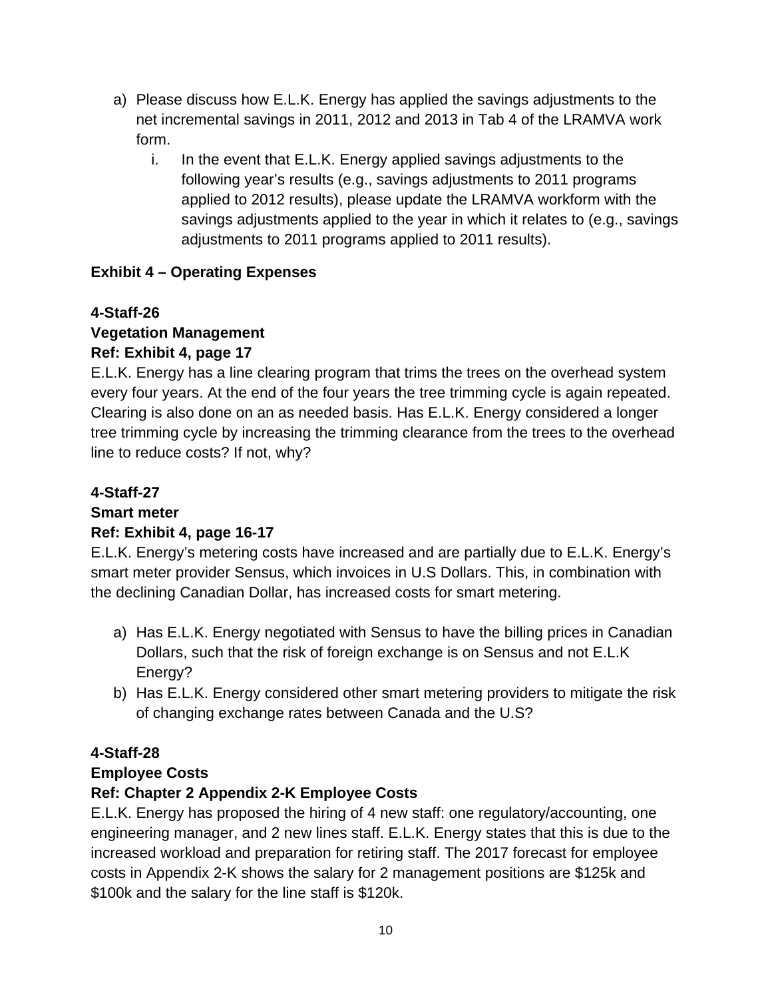- a) Please discuss how E.L.K. Energy has applied the savings adjustments to the net incremental savings in 2011, 2012 and 2013 in Tab 4 of the LRAMVA work form.
	- i. In the event that E.L.K. Energy applied savings adjustments to the following year's results (e.g., savings adjustments to 2011 programs applied to 2012 results), please update the LRAMVA workform with the savings adjustments applied to the year in which it relates to (e.g., savings adjustments to 2011 programs applied to 2011 results).

# **Exhibit 4 – Operating Expenses**

# **4-Staff-26**

#### **Vegetation Management Ref: Exhibit 4, page 17**

E.L.K. Energy has a line clearing program that trims the trees on the overhead system every four years. At the end of the four years the tree trimming cycle is again repeated. Clearing is also done on an as needed basis. Has E.L.K. Energy considered a longer tree trimming cycle by increasing the trimming clearance from the trees to the overhead line to reduce costs? If not, why?

# **4-Staff-27**

# **Smart meter**

#### **Ref: Exhibit 4, page 16-17**

E.L.K. Energy's metering costs have increased and are partially due to E.L.K. Energy's smart meter provider Sensus, which invoices in U.S Dollars. This, in combination with the declining Canadian Dollar, has increased costs for smart metering.

- a) Has E.L.K. Energy negotiated with Sensus to have the billing prices in Canadian Dollars, such that the risk of foreign exchange is on Sensus and not E.L.K Energy?
- b) Has E.L.K. Energy considered other smart metering providers to mitigate the risk of changing exchange rates between Canada and the U.S?

#### **4-Staff-28**

#### **Employee Costs**

#### **Ref: Chapter 2 Appendix 2-K Employee Costs**

E.L.K. Energy has proposed the hiring of 4 new staff: one regulatory/accounting, one engineering manager, and 2 new lines staff. E.L.K. Energy states that this is due to the increased workload and preparation for retiring staff. The 2017 forecast for employee costs in Appendix 2-K shows the salary for 2 management positions are \$125k and \$100k and the salary for the line staff is \$120k.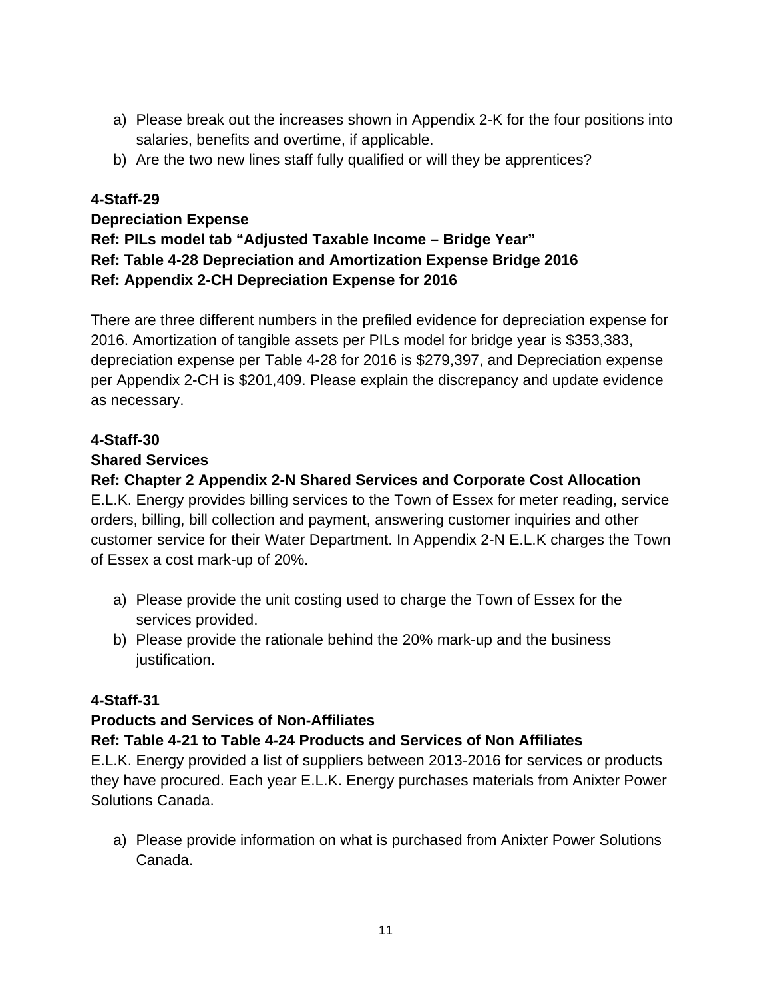- a) Please break out the increases shown in Appendix 2-K for the four positions into salaries, benefits and overtime, if applicable.
- b) Are the two new lines staff fully qualified or will they be apprentices?

#### **Depreciation Expense**

#### **Ref: PILs model tab "Adjusted Taxable Income – Bridge Year" Ref: Table 4-28 Depreciation and Amortization Expense Bridge 2016 Ref: Appendix 2-CH Depreciation Expense for 2016**

There are three different numbers in the prefiled evidence for depreciation expense for 2016. Amortization of tangible assets per PILs model for bridge year is \$353,383, depreciation expense per Table 4-28 for 2016 is \$279,397, and Depreciation expense per Appendix 2-CH is \$201,409. Please explain the discrepancy and update evidence as necessary.

#### **4-Staff-30**

#### **Shared Services**

#### **Ref: Chapter 2 Appendix 2-N Shared Services and Corporate Cost Allocation**

E.L.K. Energy provides billing services to the Town of Essex for meter reading, service orders, billing, bill collection and payment, answering customer inquiries and other customer service for their Water Department. In Appendix 2-N E.L.K charges the Town of Essex a cost mark-up of 20%.

- a) Please provide the unit costing used to charge the Town of Essex for the services provided.
- b) Please provide the rationale behind the 20% mark-up and the business justification.

#### **4-Staff-31**

#### **Products and Services of Non-Affiliates**

#### **Ref: Table 4-21 to Table 4-24 Products and Services of Non Affiliates**

E.L.K. Energy provided a list of suppliers between 2013-2016 for services or products they have procured. Each year E.L.K. Energy purchases materials from Anixter Power Solutions Canada.

a) Please provide information on what is purchased from Anixter Power Solutions Canada.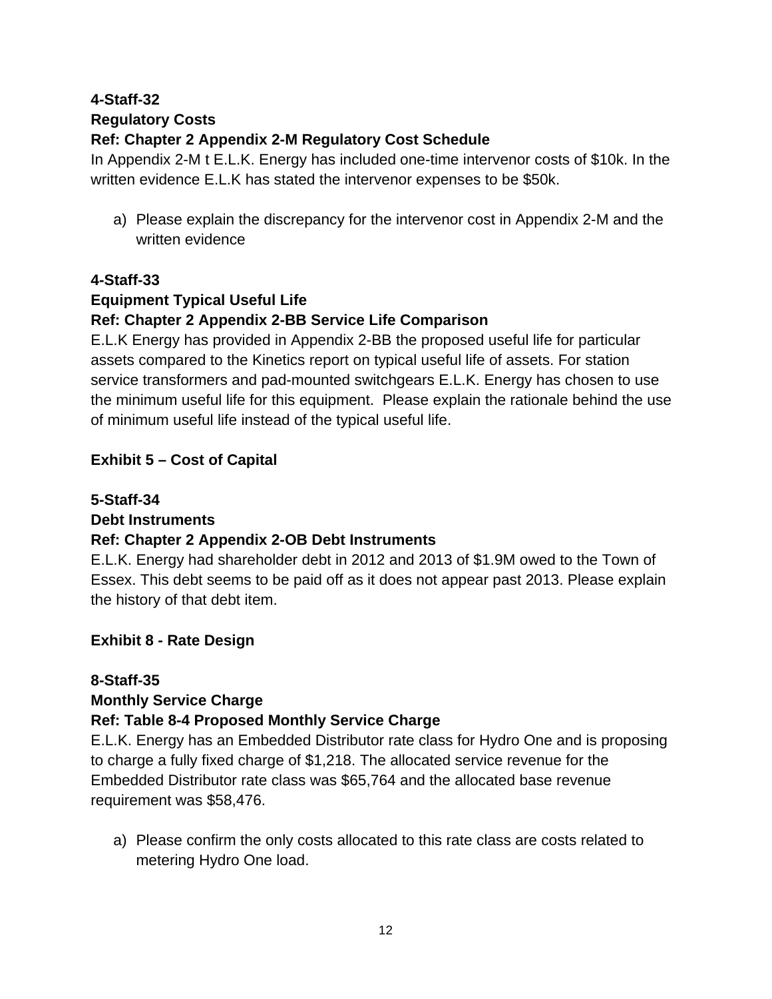# **4-Staff-32 Regulatory Costs**

#### **Ref: Chapter 2 Appendix 2-M Regulatory Cost Schedule**

In Appendix 2-M t E.L.K. Energy has included one-time intervenor costs of \$10k. In the written evidence E.L.K has stated the intervenor expenses to be \$50k.

a) Please explain the discrepancy for the intervenor cost in Appendix 2-M and the written evidence

#### **4-Staff-33**

#### **Equipment Typical Useful Life**

#### **Ref: Chapter 2 Appendix 2-BB Service Life Comparison**

E.L.K Energy has provided in Appendix 2-BB the proposed useful life for particular assets compared to the Kinetics report on typical useful life of assets. For station service transformers and pad-mounted switchgears E.L.K. Energy has chosen to use the minimum useful life for this equipment. Please explain the rationale behind the use of minimum useful life instead of the typical useful life.

#### **Exhibit 5 – Cost of Capital**

#### **5-Staff-34**

#### **Debt Instruments**

#### **Ref: Chapter 2 Appendix 2-OB Debt Instruments**

E.L.K. Energy had shareholder debt in 2012 and 2013 of \$1.9M owed to the Town of Essex. This debt seems to be paid off as it does not appear past 2013. Please explain the history of that debt item.

#### **Exhibit 8 - Rate Design**

#### **8-Staff-35**

#### **Monthly Service Charge**

#### **Ref: Table 8-4 Proposed Monthly Service Charge**

E.L.K. Energy has an Embedded Distributor rate class for Hydro One and is proposing to charge a fully fixed charge of \$1,218. The allocated service revenue for the Embedded Distributor rate class was \$65,764 and the allocated base revenue requirement was \$58,476.

a) Please confirm the only costs allocated to this rate class are costs related to metering Hydro One load.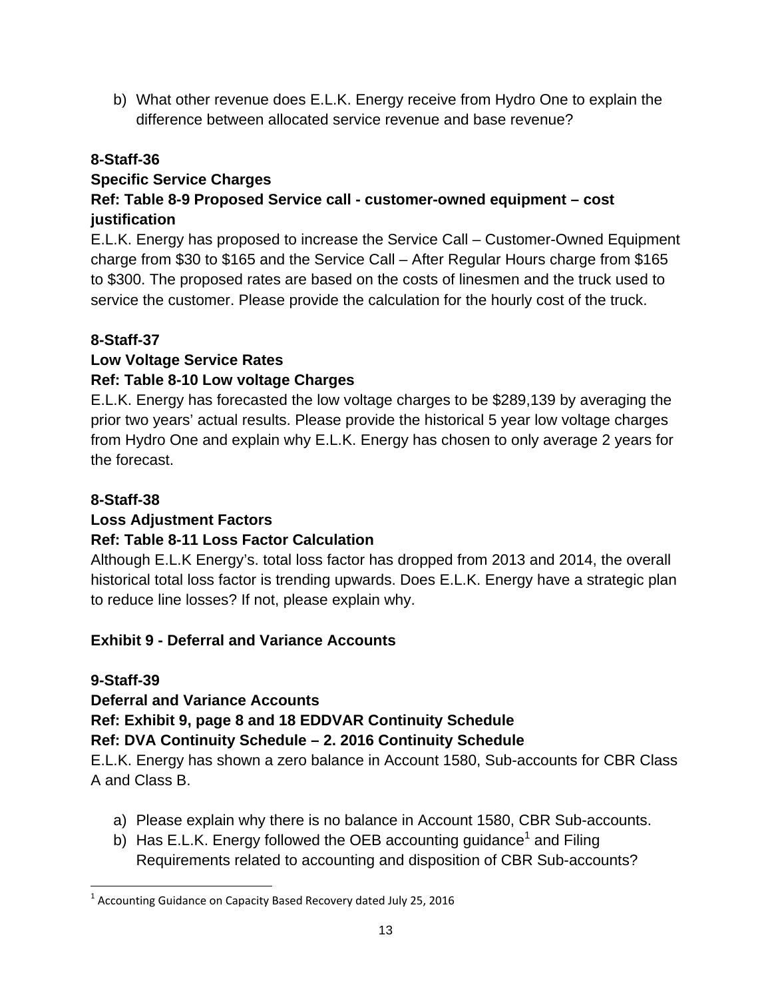b) What other revenue does E.L.K. Energy receive from Hydro One to explain the difference between allocated service revenue and base revenue?

#### **8-Staff-36**

#### **Specific Service Charges**

#### **Ref: Table 8-9 Proposed Service call - customer-owned equipment – cost justification**

E.L.K. Energy has proposed to increase the Service Call – Customer-Owned Equipment charge from \$30 to \$165 and the Service Call – After Regular Hours charge from \$165 to \$300. The proposed rates are based on the costs of linesmen and the truck used to service the customer. Please provide the calculation for the hourly cost of the truck.

# **8-Staff-37**

# **Low Voltage Service Rates**

# **Ref: Table 8-10 Low voltage Charges**

E.L.K. Energy has forecasted the low voltage charges to be \$289,139 by averaging the prior two years' actual results. Please provide the historical 5 year low voltage charges from Hydro One and explain why E.L.K. Energy has chosen to only average 2 years for the forecast.

# **8-Staff-38**

#### **Loss Adjustment Factors**

# **Ref: Table 8-11 Loss Factor Calculation**

Although E.L.K Energy's. total loss factor has dropped from 2013 and 2014, the overall historical total loss factor is trending upwards. Does E.L.K. Energy have a strategic plan to reduce line losses? If not, please explain why.

#### **Exhibit 9 - Deferral and Variance Accounts**

#### **9-Staff-39**

**Deferral and Variance Accounts** 

# **Ref: Exhibit 9, page 8 and 18 EDDVAR Continuity Schedule**

#### **Ref: DVA Continuity Schedule – 2. 2016 Continuity Schedule**

E.L.K. Energy has shown a zero balance in Account 1580, Sub-accounts for CBR Class A and Class B.

- a) Please explain why there is no balance in Account 1580, CBR Sub-accounts.
- b) Has E.L.K. Energy followed the OEB accounting guidance<sup>1</sup> and Filing Requirements related to accounting and disposition of CBR Sub-accounts?

  $1$  Accounting Guidance on Capacity Based Recovery dated July 25, 2016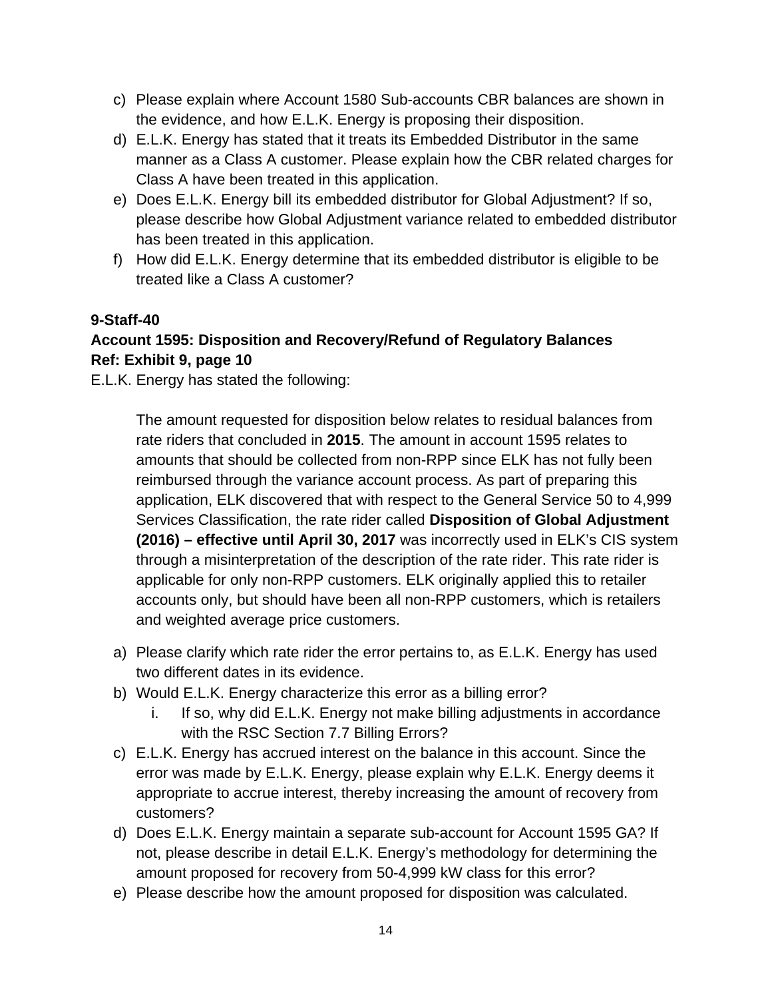- c) Please explain where Account 1580 Sub-accounts CBR balances are shown in the evidence, and how E.L.K. Energy is proposing their disposition.
- d) E.L.K. Energy has stated that it treats its Embedded Distributor in the same manner as a Class A customer. Please explain how the CBR related charges for Class A have been treated in this application.
- e) Does E.L.K. Energy bill its embedded distributor for Global Adjustment? If so, please describe how Global Adjustment variance related to embedded distributor has been treated in this application.
- f) How did E.L.K. Energy determine that its embedded distributor is eligible to be treated like a Class A customer?

#### **Account 1595: Disposition and Recovery/Refund of Regulatory Balances Ref: Exhibit 9, page 10**

E.L.K. Energy has stated the following:

The amount requested for disposition below relates to residual balances from rate riders that concluded in **2015**. The amount in account 1595 relates to amounts that should be collected from non-RPP since ELK has not fully been reimbursed through the variance account process. As part of preparing this application, ELK discovered that with respect to the General Service 50 to 4,999 Services Classification, the rate rider called **Disposition of Global Adjustment (2016) – effective until April 30, 2017** was incorrectly used in ELK's CIS system through a misinterpretation of the description of the rate rider. This rate rider is applicable for only non-RPP customers. ELK originally applied this to retailer accounts only, but should have been all non-RPP customers, which is retailers and weighted average price customers.

- a) Please clarify which rate rider the error pertains to, as E.L.K. Energy has used two different dates in its evidence.
- b) Would E.L.K. Energy characterize this error as a billing error?
	- i. If so, why did E.L.K. Energy not make billing adjustments in accordance with the RSC Section 7.7 Billing Errors?
- c) E.L.K. Energy has accrued interest on the balance in this account. Since the error was made by E.L.K. Energy, please explain why E.L.K. Energy deems it appropriate to accrue interest, thereby increasing the amount of recovery from customers?
- d) Does E.L.K. Energy maintain a separate sub-account for Account 1595 GA? If not, please describe in detail E.L.K. Energy's methodology for determining the amount proposed for recovery from 50-4,999 kW class for this error?
- e) Please describe how the amount proposed for disposition was calculated.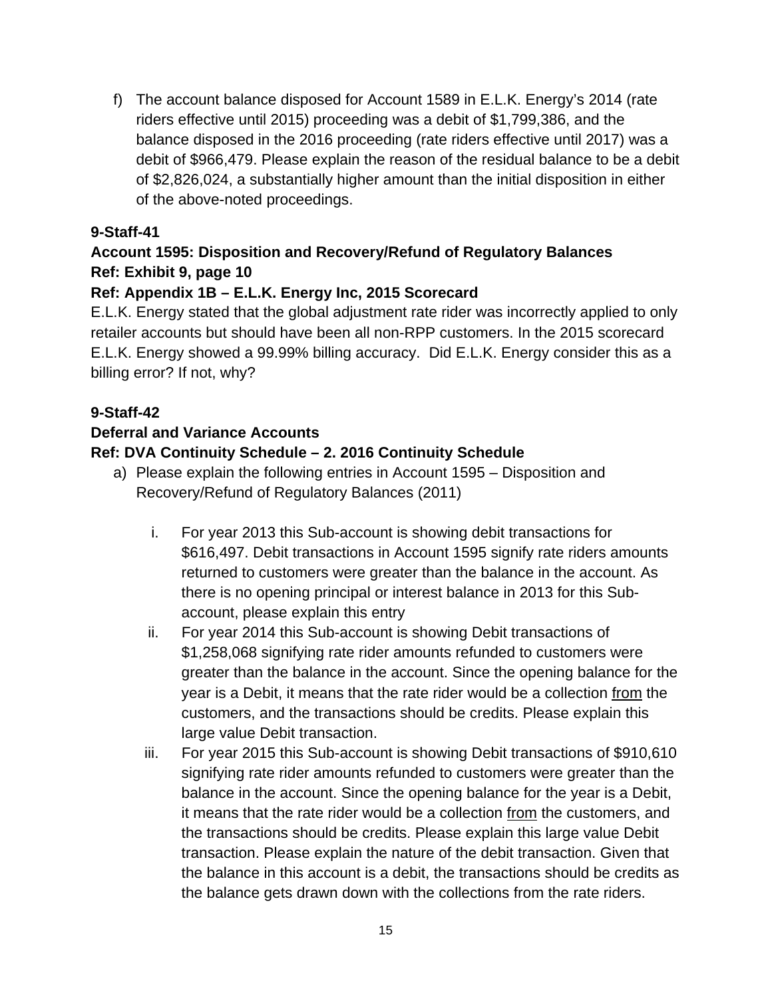f) The account balance disposed for Account 1589 in E.L.K. Energy's 2014 (rate riders effective until 2015) proceeding was a debit of \$1,799,386, and the balance disposed in the 2016 proceeding (rate riders effective until 2017) was a debit of \$966,479. Please explain the reason of the residual balance to be a debit of \$2,826,024, a substantially higher amount than the initial disposition in either of the above-noted proceedings.

#### **9-Staff-41**

#### **Account 1595: Disposition and Recovery/Refund of Regulatory Balances Ref: Exhibit 9, page 10**

#### **Ref: Appendix 1B – E.L.K. Energy Inc, 2015 Scorecard**

E.L.K. Energy stated that the global adjustment rate rider was incorrectly applied to only retailer accounts but should have been all non-RPP customers. In the 2015 scorecard E.L.K. Energy showed a 99.99% billing accuracy. Did E.L.K. Energy consider this as a billing error? If not, why?

#### **9-Staff-42**

#### **Deferral and Variance Accounts**

#### **Ref: DVA Continuity Schedule – 2. 2016 Continuity Schedule**

- a) Please explain the following entries in Account 1595 Disposition and Recovery/Refund of Regulatory Balances (2011)
	- i. For year 2013 this Sub-account is showing debit transactions for \$616,497. Debit transactions in Account 1595 signify rate riders amounts returned to customers were greater than the balance in the account. As there is no opening principal or interest balance in 2013 for this Subaccount, please explain this entry
	- ii. For year 2014 this Sub-account is showing Debit transactions of \$1,258,068 signifying rate rider amounts refunded to customers were greater than the balance in the account. Since the opening balance for the year is a Debit, it means that the rate rider would be a collection from the customers, and the transactions should be credits. Please explain this large value Debit transaction.
	- iii. For year 2015 this Sub-account is showing Debit transactions of \$910,610 signifying rate rider amounts refunded to customers were greater than the balance in the account. Since the opening balance for the year is a Debit, it means that the rate rider would be a collection from the customers, and the transactions should be credits. Please explain this large value Debit transaction. Please explain the nature of the debit transaction. Given that the balance in this account is a debit, the transactions should be credits as the balance gets drawn down with the collections from the rate riders.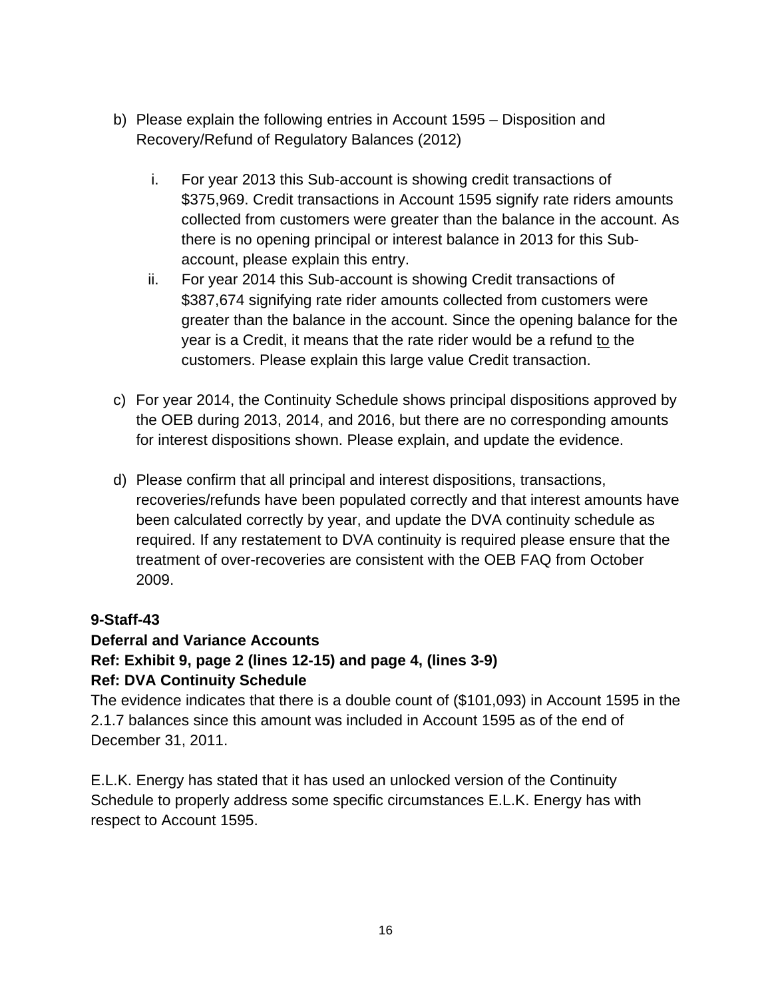- b) Please explain the following entries in Account 1595 Disposition and Recovery/Refund of Regulatory Balances (2012)
	- i. For year 2013 this Sub-account is showing credit transactions of \$375,969. Credit transactions in Account 1595 signify rate riders amounts collected from customers were greater than the balance in the account. As there is no opening principal or interest balance in 2013 for this Subaccount, please explain this entry.
	- ii. For year 2014 this Sub-account is showing Credit transactions of \$387,674 signifying rate rider amounts collected from customers were greater than the balance in the account. Since the opening balance for the year is a Credit, it means that the rate rider would be a refund to the customers. Please explain this large value Credit transaction.
- c) For year 2014, the Continuity Schedule shows principal dispositions approved by the OEB during 2013, 2014, and 2016, but there are no corresponding amounts for interest dispositions shown. Please explain, and update the evidence.
- d) Please confirm that all principal and interest dispositions, transactions, recoveries/refunds have been populated correctly and that interest amounts have been calculated correctly by year, and update the DVA continuity schedule as required. If any restatement to DVA continuity is required please ensure that the treatment of over-recoveries are consistent with the OEB FAQ from October 2009.

#### **Deferral and Variance Accounts Ref: Exhibit 9, page 2 (lines 12-15) and page 4, (lines 3-9) Ref: DVA Continuity Schedule**

The evidence indicates that there is a double count of (\$101,093) in Account 1595 in the 2.1.7 balances since this amount was included in Account 1595 as of the end of December 31, 2011.

E.L.K. Energy has stated that it has used an unlocked version of the Continuity Schedule to properly address some specific circumstances E.L.K. Energy has with respect to Account 1595.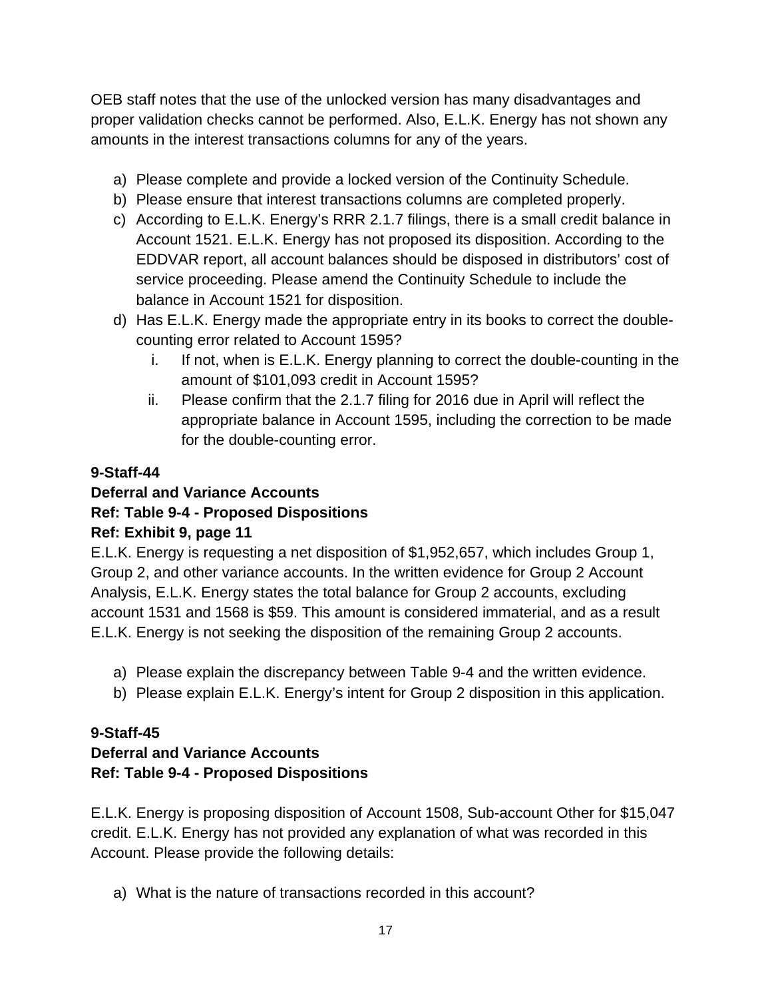OEB staff notes that the use of the unlocked version has many disadvantages and proper validation checks cannot be performed. Also, E.L.K. Energy has not shown any amounts in the interest transactions columns for any of the years.

- a) Please complete and provide a locked version of the Continuity Schedule.
- b) Please ensure that interest transactions columns are completed properly.
- c) According to E.L.K. Energy's RRR 2.1.7 filings, there is a small credit balance in Account 1521. E.L.K. Energy has not proposed its disposition. According to the EDDVAR report, all account balances should be disposed in distributors' cost of service proceeding. Please amend the Continuity Schedule to include the balance in Account 1521 for disposition.
- d) Has E.L.K. Energy made the appropriate entry in its books to correct the doublecounting error related to Account 1595?
	- i. If not, when is E.L.K. Energy planning to correct the double-counting in the amount of \$101,093 credit in Account 1595?
	- ii. Please confirm that the 2.1.7 filing for 2016 due in April will reflect the appropriate balance in Account 1595, including the correction to be made for the double-counting error.

# **9-Staff-44**

#### **Deferral and Variance Accounts**

#### **Ref: Table 9-4 - Proposed Dispositions**

#### **Ref: Exhibit 9, page 11**

E.L.K. Energy is requesting a net disposition of \$1,952,657, which includes Group 1, Group 2, and other variance accounts. In the written evidence for Group 2 Account Analysis, E.L.K. Energy states the total balance for Group 2 accounts, excluding account 1531 and 1568 is \$59. This amount is considered immaterial, and as a result E.L.K. Energy is not seeking the disposition of the remaining Group 2 accounts.

- a) Please explain the discrepancy between Table 9-4 and the written evidence.
- b) Please explain E.L.K. Energy's intent for Group 2 disposition in this application.

#### **9-Staff-45**

**Deferral and Variance Accounts Ref: Table 9-4 - Proposed Dispositions** 

E.L.K. Energy is proposing disposition of Account 1508, Sub-account Other for \$15,047 credit. E.L.K. Energy has not provided any explanation of what was recorded in this Account. Please provide the following details:

a) What is the nature of transactions recorded in this account?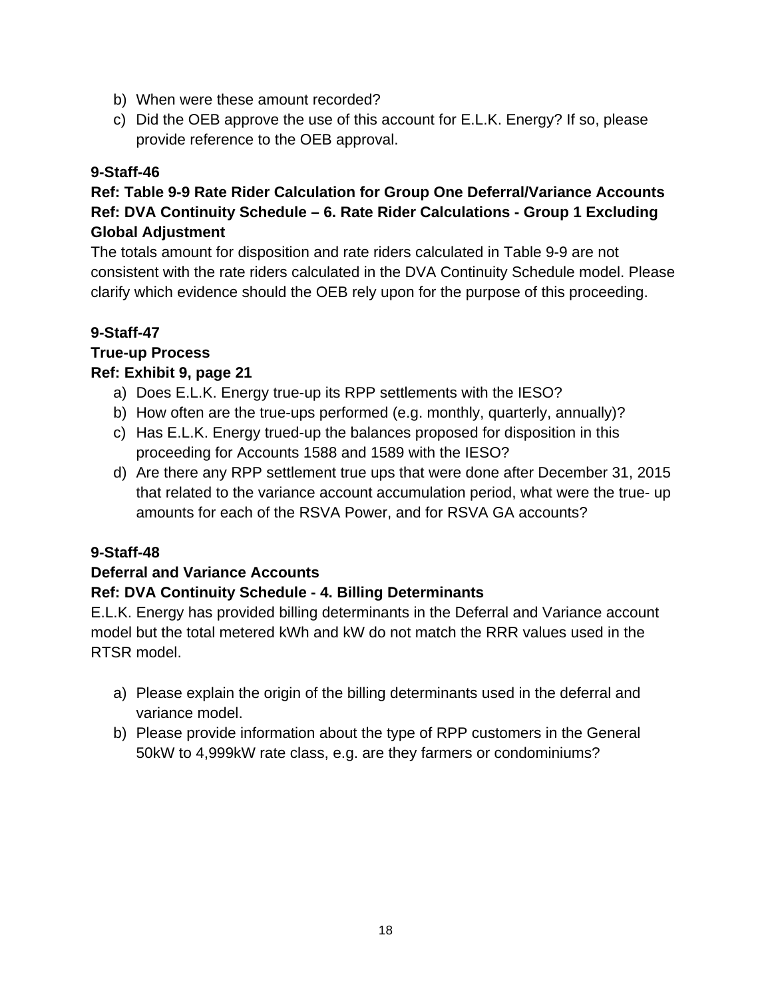- b) When were these amount recorded?
- c) Did the OEB approve the use of this account for E.L.K. Energy? If so, please provide reference to the OEB approval.

#### **Ref: Table 9-9 Rate Rider Calculation for Group One Deferral/Variance Accounts Ref: DVA Continuity Schedule – 6. Rate Rider Calculations - Group 1 Excluding Global Adjustment**

The totals amount for disposition and rate riders calculated in Table 9-9 are not consistent with the rate riders calculated in the DVA Continuity Schedule model. Please clarify which evidence should the OEB rely upon for the purpose of this proceeding.

# **9-Staff-47**

#### **True-up Process Ref: Exhibit 9, page 21**

- a) Does E.L.K. Energy true-up its RPP settlements with the IESO?
- b) How often are the true-ups performed (e.g. monthly, quarterly, annually)?
- c) Has E.L.K. Energy trued-up the balances proposed for disposition in this proceeding for Accounts 1588 and 1589 with the IESO?
- d) Are there any RPP settlement true ups that were done after December 31, 2015 that related to the variance account accumulation period, what were the true- up amounts for each of the RSVA Power, and for RSVA GA accounts?

#### **9-Staff-48**

#### **Deferral and Variance Accounts**

#### **Ref: DVA Continuity Schedule - 4. Billing Determinants**

E.L.K. Energy has provided billing determinants in the Deferral and Variance account model but the total metered kWh and kW do not match the RRR values used in the RTSR model.

- a) Please explain the origin of the billing determinants used in the deferral and variance model.
- b) Please provide information about the type of RPP customers in the General 50kW to 4,999kW rate class, e.g. are they farmers or condominiums?